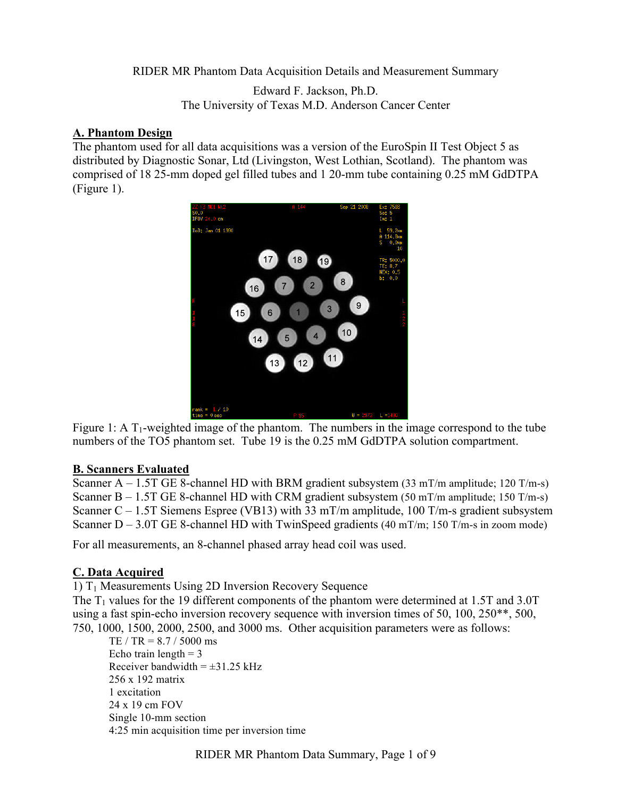RIDER MR Phantom Data Acquisition Details and Measurement Summary

Edward F. Jackson, Ph.D. The University of Texas M.D. Anderson Cancer Center

### **A. Phantom Design**

The phantom used for all data acquisitions was a version of the EuroSpin II Test Object 5 as distributed by Diagnostic Sonar, Ltd (Livingston, West Lothian, Scotland). The phantom was comprised of 18 25-mm doped gel filled tubes and 1 20-mm tube containing 0.25 mM GdDTPA (Figure 1).



Figure 1: A  $T_1$ -weighted image of the phantom. The numbers in the image correspond to the tube numbers of the TO5 phantom set. Tube 19 is the 0.25 mM GdDTPA solution compartment.

## **B. Scanners Evaluated**

Scanner A – 1.5T GE 8-channel HD with BRM gradient subsystem (33 mT/m amplitude; 120 T/m-s) Scanner B – 1.5T GE 8-channel HD with CRM gradient subsystem (50 mT/m amplitude; 150 T/m-s) Scanner  $D - 3.0T$  GE 8-channel HD with TwinSpeed gradients (40 mT/m; 150 T/m-s in zoom mode) Scanner C – 1.5T Siemens Espree (VB13) with 33 mT/m amplitude, 100 T/m-s gradient subsystem

For all measurements, an 8-channel phased array head coil was used.

## **C. Data Acquired**

1)  $T_1$  Measurements Using 2D Inversion Recovery Sequence

The  $T_1$  values for the 19 different components of the phantom were determined at 1.5T and 3.0T using a fast spin-echo inversion recovery sequence with inversion times of 50, 100, 250\*\*, 500, 750, 1000, 1500, 2000, 2500, and 3000 ms. Other acquisition parameters were as follows:

 TE / TR = 8.7 / 5000 ms Echo train length  $= 3$ Receiver bandwidth  $= \pm 31.25$  kHz 4:25 min acquisition time per inversion time 256 x 192 matrix 1 excitation 24 x 19 cm FOV Single 10-mm section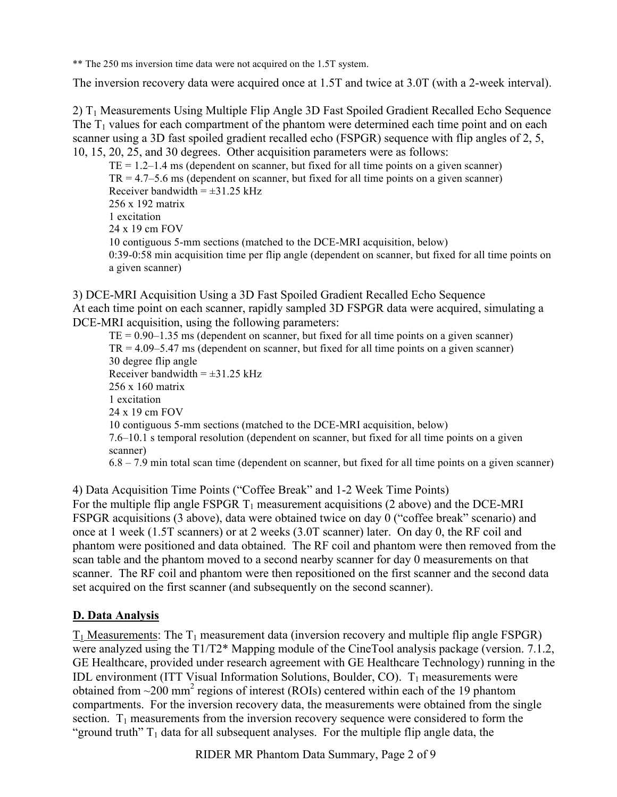\*\* The 250 ms inversion time data were not acquired on the 1.5T system.

The inversion recovery data were acquired once at 1.5T and twice at 3.0T (with a 2-week interval).

2) T1 Measurements Using Multiple Flip Angle 3D Fast Spoiled Gradient Recalled Echo Sequence The  $T_1$  values for each compartment of the phantom were determined each time point and on each scanner using a 3D fast spoiled gradient recalled echo (FSPGR) sequence with flip angles of 2, 5, 10, 15, 20, 25, and 30 degrees. Other acquisition parameters were as follows:

 TR = 4.7–5.6 ms (dependent on scanner, but fixed for all time points on a given scanner) Receiver bandwidth  $= \pm 31.25$  kHz 10 contiguous 5-mm sections (matched to the DCE-MRI acquisition, below) 0:39-0:58 min acquisition time per flip angle (dependent on scanner, but fixed for all time points on  $TE = 1.2 - 1.4$  ms (dependent on scanner, but fixed for all time points on a given scanner) 256 x 192 matrix 1 excitation 24 x 19 cm FOV a given scanner)

3) DCE-MRI Acquisition Using a 3D Fast Spoiled Gradient Recalled Echo Sequence At each time point on each scanner, rapidly sampled 3D FSPGR data were acquired, simulating a DCE-MRI acquisition, using the following parameters:

 $TE = 0.90 - 1.35$  ms (dependent on scanner, but fixed for all time points on a given scanner)  $TR = 4.09 - 5.47$  ms (dependent on scanner, but fixed for all time points on a given scanner) Receiver bandwidth  $= \pm 31.25$  kHz 10 contiguous 5-mm sections (matched to the DCE-MRI acquisition, below) 7.6–10.1 s temporal resolution (dependent on scanner, but fixed for all time points on a given 6.8 – 7.9 min total scan time (dependent on scanner, but fixed for all time points on a given scanner) 30 degree flip angle 256 x 160 matrix 1 excitation 24 x 19 cm FOV scanner)

4) Data Acquisition Time Points ("Coffee Break" and 1-2 Week Time Points) For the multiple flip angle FSPGR  $T_1$  measurement acquisitions (2 above) and the DCE-MRI FSPGR acquisitions (3 above), data were obtained twice on day 0 ("coffee break" scenario) and once at 1 week (1.5T scanners) or at 2 weeks (3.0T scanner) later. On day 0, the RF coil and phantom were positioned and data obtained. The RF coil and phantom were then removed from the scan table and the phantom moved to a second nearby scanner for day 0 measurements on that scanner. The RF coil and phantom were then repositioned on the first scanner and the second data set acquired on the first scanner (and subsequently on the second scanner).

# **D. Data Analysis**

 $T_1$  Measurements: The  $T_1$  measurement data (inversion recovery and multiple flip angle FSPGR) were analyzed using the T1/T2\* Mapping module of the CineTool analysis package (version. 7.1.2, GE Healthcare, provided under research agreement with GE Healthcare Technology) running in the IDL environment (ITT Visual Information Solutions, Boulder, CO).  $T_1$  measurements were obtained from  $\sim$ 200 mm<sup>2</sup> regions of interest (ROIs) centered within each of the 19 phantom compartments. For the inversion recovery data, the measurements were obtained from the single section.  $T_1$  measurements from the inversion recovery sequence were considered to form the "ground truth"  $T_1$  data for all subsequent analyses. For the multiple flip angle data, the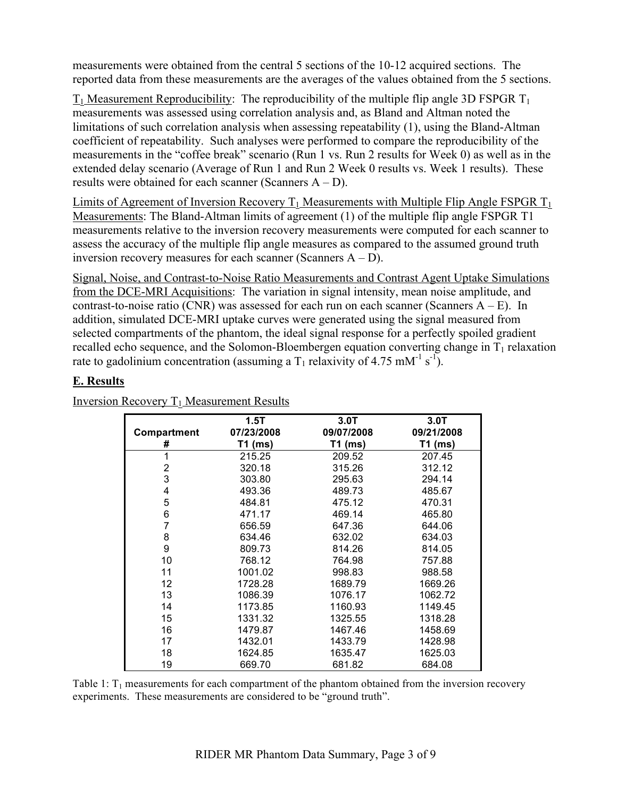measurements were obtained from the central 5 sections of the 10-12 acquired sections. The reported data from these measurements are the averages of the values obtained from the 5 sections.

 results were obtained for each scanner (Scanners A – D).  $T_1$  Measurement Reproducibility: The reproducibility of the multiple flip angle 3D FSPGR  $T_1$ measurements was assessed using correlation analysis and, as Bland and Altman noted the limitations of such correlation analysis when assessing repeatability (1), using the Bland-Altman coefficient of repeatability. Such analyses were performed to compare the reproducibility of the measurements in the "coffee break" scenario (Run 1 vs. Run 2 results for Week 0) as well as in the extended delay scenario (Average of Run 1 and Run 2 Week 0 results vs. Week 1 results). These

 inversion recovery measures for each scanner (Scanners A – D). Limits of Agreement of Inversion Recovery  $T_1$  Measurements with Multiple Flip Angle FSPGR  $T_1$ Measurements: The Bland-Altman limits of agreement (1) of the multiple flip angle FSPGR T1 measurements relative to the inversion recovery measurements were computed for each scanner to assess the accuracy of the multiple flip angle measures as compared to the assumed ground truth

Signal, Noise, and Contrast-to-Noise Ratio Measurements and Contrast Agent Uptake Simulations from the DCE-MRI Acquisitions: The variation in signal intensity, mean noise amplitude, and contrast-to-noise ratio (CNR) was assessed for each run on each scanner (Scanners  $A - E$ ). In addition, simulated DCE-MRI uptake curves were generated using the signal measured from selected compartments of the phantom, the ideal signal response for a perfectly spoiled gradient recalled echo sequence, and the Solomon-Bloembergen equation converting change in  $T_1$  relaxation rate to gadolinium concentration (assuming a T<sub>1</sub> relaxivity of 4.75 mM<sup>-1</sup> s<sup>-1</sup>).

## **E. Results**

|             | 1.5T       | 3.0T       | 3.0T       |
|-------------|------------|------------|------------|
| Compartment | 07/23/2008 | 09/07/2008 | 09/21/2008 |
| #           | $T1$ (ms)  | $T1$ (ms)  | T1 (ms)    |
| 1           | 215.25     | 209.52     | 207.45     |
| 2           | 320.18     | 315.26     | 312.12     |
| 3           | 303.80     | 295.63     | 294.14     |
| 4           | 493.36     | 489.73     | 485.67     |
| 5           | 484.81     | 475.12     | 470.31     |
| 6           | 471.17     | 469.14     | 465.80     |
| 7           | 656.59     | 647.36     | 644.06     |
| 8           | 634.46     | 632.02     | 634.03     |
| 9           | 809.73     | 814.26     | 814.05     |
| 10          | 768.12     | 764.98     | 757.88     |
| 11          | 1001.02    | 998.83     | 988.58     |
| 12          | 1728.28    | 1689.79    | 1669.26    |
| 13          | 1086.39    | 1076.17    | 1062.72    |
| 14          | 1173.85    | 1160.93    | 1149.45    |
| 15          | 1331.32    | 1325.55    | 1318.28    |
| 16          | 1479.87    | 1467.46    | 1458.69    |
| 17          | 1432.01    | 1433.79    | 1428.98    |
| 18          | 1624.85    | 1635.47    | 1625.03    |
| 19          | 669.70     | 681.82     | 684.08     |

Inversion Recovery  $T_1$  Measurement Results

Table 1:  $T_1$  measurements for each compartment of the phantom obtained from the inversion recovery experiments. These measurements are considered to be "ground truth".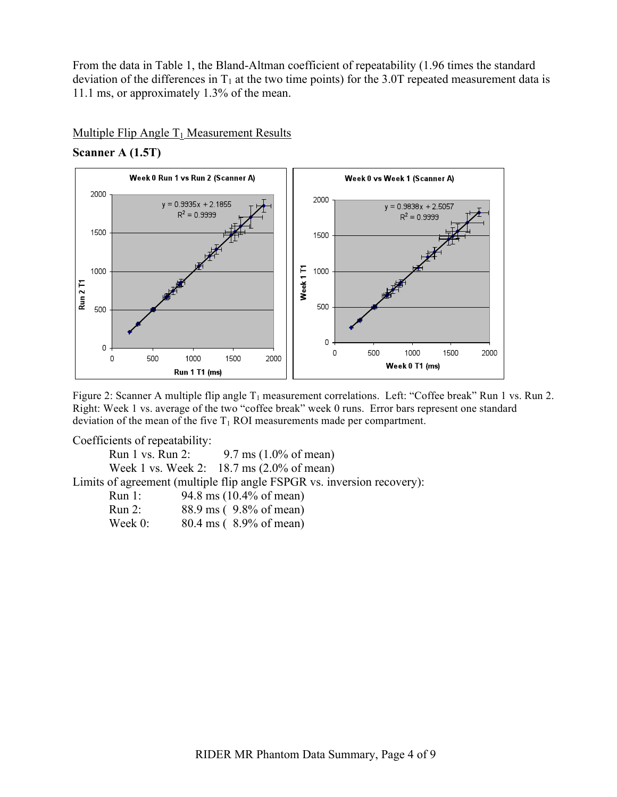From the data in Table 1, the Bland-Altman coefficient of repeatability (1.96 times the standard deviation of the differences in  $T_1$  at the two time points) for the 3.0T repeated measurement data is 11.1 ms, or approximately 1.3% of the mean.

#### Multiple Flip Angle  $T_1$  Measurement Results

### **Scanner A (1.5T)**



Figure 2: Scanner A multiple flip angle  $T_1$  measurement correlations. Left: "Coffee break" Run 1 vs. Run 2. Right: Week 1 vs. average of the two "coffee break" week 0 runs. Error bars represent one standard deviation of the mean of the five  $T_1$  ROI measurements made per compartment.

Coefficients of repeatability:<br>Run 1 vs. Run 2: 9.7 ms (1.0% of mean) Run 1 vs. Run 2: Week 1 vs. Week 2: 18.7 ms (2.0% of mean) Limits of agreement (multiple flip angle FSPGR vs. inversion recovery):

| Run 1:  | 94.8 ms (10.4% of mean) |
|---------|-------------------------|
| Run 2:  | 88.9 ms (9.8% of mean)  |
| Week 0: | 80.4 ms (8.9% of mean)  |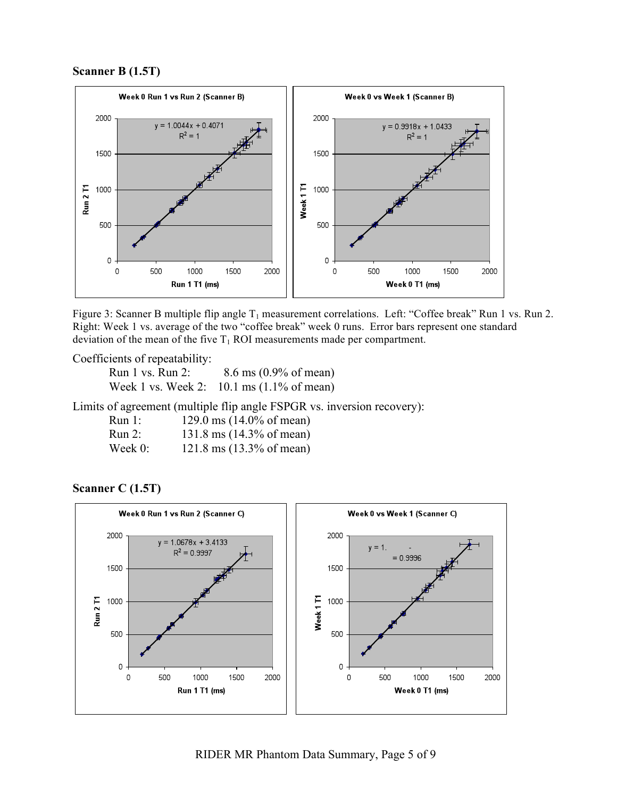**Scanner B (1.5T)** 



 Right: Week 1 vs. average of the two "coffee break" week 0 runs. Error bars represent one standard deviation of the mean of the five  $T_1$  ROI measurements made per compartment. Figure 3: Scanner B multiple flip angle  $T_1$  measurement correlations. Left: "Coffee break" Run 1 vs. Run 2.

Coefficients of repeatability:<br>Run 1 vs. Run 2: 8.6 ms (0.9% of mean) Run 1 vs. Run 2: Week 1 vs. Week 2: 10.1 ms (1.1% of mean)

Limits of agreement (multiple flip angle FSPGR vs. inversion recovery):

| Run 1:     | 129.0 ms $(14.0\% \text{ of mean})$          |
|------------|----------------------------------------------|
| $Run 2$ :  | 131.8 ms $(14.3\% \text{ of mean})$          |
| Week $0$ : | $121.8 \text{ ms } (13.3\% \text{ of mean})$ |

## **Scanner C (1.5T)**

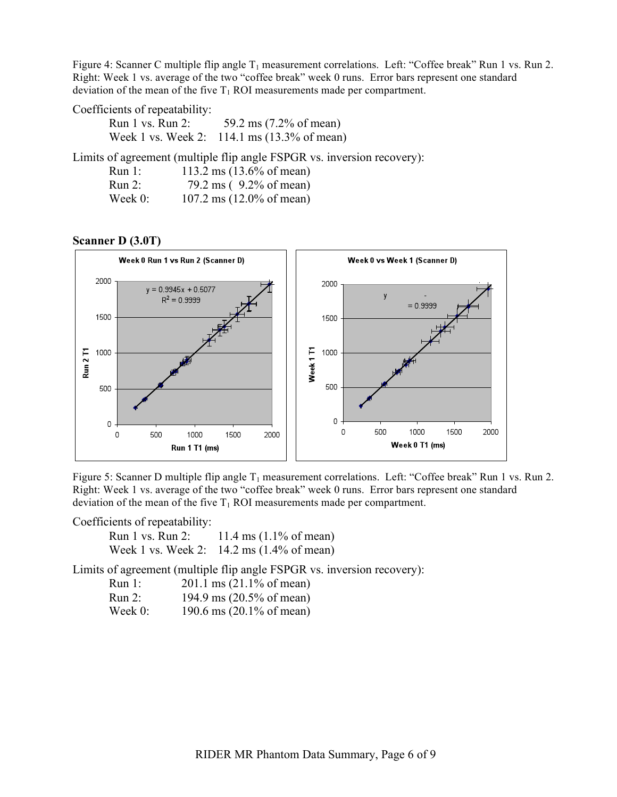Right: Week 1 vs. average of the two "coffee break" week 0 runs. Error bars represent one standard deviation of the mean of the five  $T_1$  ROI measurements made per compartment. Figure 4: Scanner C multiple flip angle  $T_1$  measurement correlations. Left: "Coffee break" Run 1 vs. Run 2.

| Coefficients of repeatability: |                                             |
|--------------------------------|---------------------------------------------|
| Run $1$ vs. Run $2$ :          | 59.2 ms $(7.2\% \text{ of mean})$           |
|                                | Week 1 vs. Week 2: 114.1 ms (13.3% of mean) |

Limits of agreement (multiple flip angle FSPGR vs. inversion recovery):

| Run 1:    | 113.2 ms $(13.6\% \text{ of mean})$ |
|-----------|-------------------------------------|
| $Run 2$ : | 79.2 ms (9.2% of mean)              |
| Week 0:   | 107.2 ms $(12.0\% \text{ of mean})$ |

#### **Scanner D (3.0T)**



Figure 5: Scanner D multiple flip angle  $T_1$  measurement correlations. Left: "Coffee break" Run 1 vs. Run 2. Right: Week 1 vs. average of the two "coffee break" week 0 runs. Error bars represent one standard deviation of the mean of the five  $T_1$  ROI measurements made per compartment.

| Coefficients of repeatability: |                                                              |
|--------------------------------|--------------------------------------------------------------|
|                                | Run 1 vs. Run 2: $11.4 \text{ ms } (1.1\% \text{ of mean})$  |
|                                | Week 1 vs. Week 2: $14.2 \text{ ms} (1.4\% \text{ of mean})$ |

Limits of agreement (multiple flip angle FSPGR vs. inversion recovery):

| Run 1:  | $201.1 \text{ ms } (21.1\% \text{ of mean})$ |
|---------|----------------------------------------------|
| Run 2:  | 194.9 ms (20.5% of mean)                     |
| Week 0: | 190.6 ms $(20.1\% \text{ of mean})$          |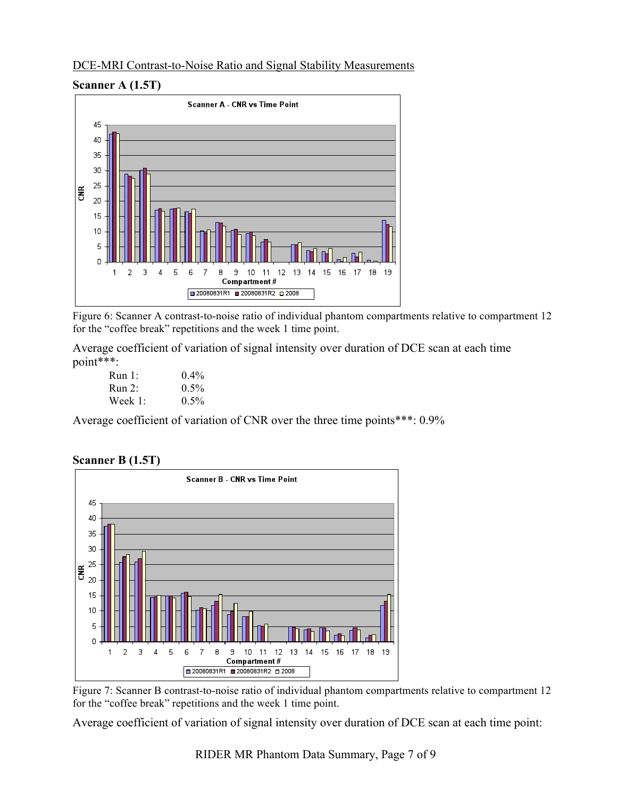### DCE-MRI Contrast-to-Noise Ratio and Signal Stability Measurements





 Figure 6: Scanner A contrast-to-noise ratio of individual phantom compartments relative to compartment 12 for the "coffee break" repetitions and the week 1 time point.

Average coefficient of variation of signal intensity over duration of DCE scan at each time point\*\*\*:

| Run 1:     | $0.4\%$ |
|------------|---------|
| Run 2:     | $0.5\%$ |
| Week $1$ : | $0.5\%$ |

Average coefficient of variation of CNR over the three time points\*\*\*: 0.9%



**Scanner B (1.5T)** 

 Figure 7: Scanner B contrast-to-noise ratio of individual phantom compartments relative to compartment 12 for the "coffee break" repetitions and the week 1 time point.

Average coefficient of variation of signal intensity over duration of DCE scan at each time point: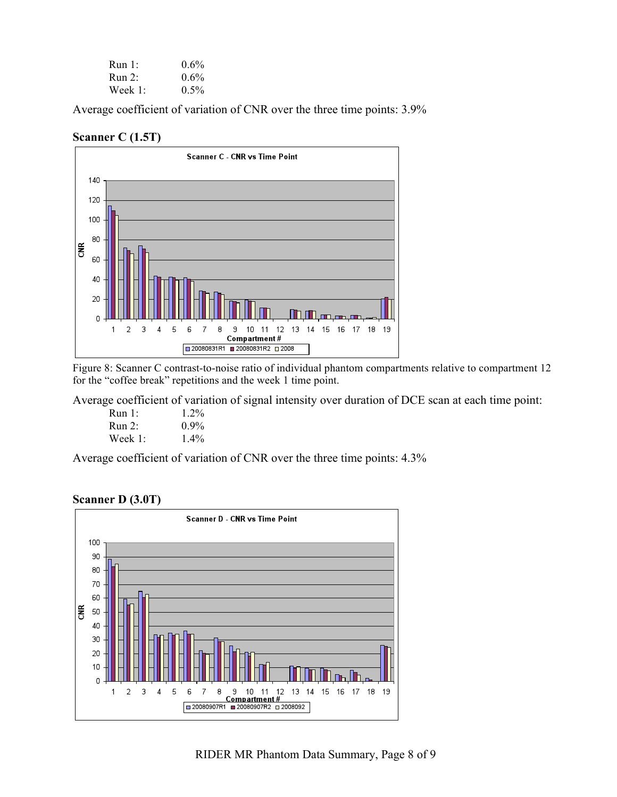| Run 1:     | $0.6\%$ |
|------------|---------|
| Run 2:     | $0.6\%$ |
| Week $1$ : | $0.5\%$ |

Average coefficient of variation of CNR over the three time points: 3.9%

#### **Scanner C (1.5T)**



 Figure 8: Scanner C contrast-to-noise ratio of individual phantom compartments relative to compartment 12 for the "coffee break" repetitions and the week 1 time point.

Average coefficient of variation of signal intensity over duration of DCE scan at each time point:

| Run 1:  | $1.2\%$ |
|---------|---------|
| Run 2:  | $0.9\%$ |
| Week 1: | $1.4\%$ |

Average coefficient of variation of CNR over the three time points: 4.3%

#### **Scanner D (3.0T)**